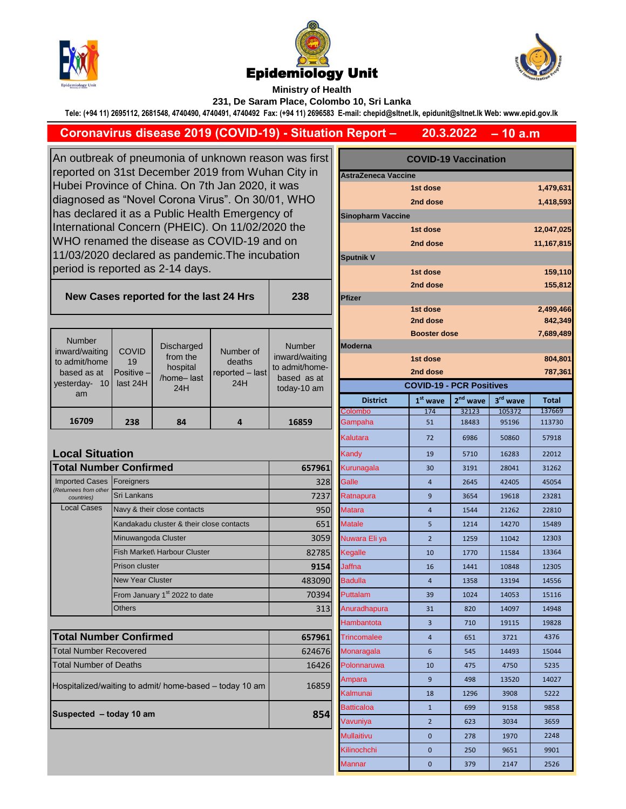





**Ministry of Health** 

**238**

**231, De Saram Place, Colombo 10, Sri Lanka**

**Tele: (+94 11) 2695112, 2681548, 4740490, 4740491, 4740492 Fax: (+94 11) 2696583 E-mail: chepid@sltnet.lk, epidunit@sltnet.lk Web: www.epid.gov.lk**

## **Coronavirus disease 2019 (COVID-19) - Situation Report –**

**– 10 a.m 20.3.2022**

**COVID-19 Vaccination**

An outbreak of pneumonia of unknown reason was first reported on 31st December 2019 from Wuhan City in Hubei Province of China. On 7th Jan 2020, it was diagnosed as "Novel Corona Virus". On 30/01, WHO has declared it as a Public Health Emergency of International Concern (PHEIC). On 11/02/2020 the WHO renamed the disease as COVID-19 and on 11/03/2020 declared as pandemic.The incubation period is reported as 2-14 days.

## **New Cases reported for the last 24 Hrs**

|                                                |                         |                                    |                           |                                                 |                 | --------                        |                      |          | $-1$         |
|------------------------------------------------|-------------------------|------------------------------------|---------------------------|-------------------------------------------------|-----------------|---------------------------------|----------------------|----------|--------------|
|                                                |                         |                                    |                           |                                                 |                 | <b>Booster dose</b>             |                      |          | 7,689,4      |
| <b>Number</b>                                  | <b>COVID</b>            | Discharged                         | Number of                 | <b>Number</b>                                   | <b>Moderna</b>  |                                 |                      |          |              |
| inward/waiting<br>to admit/home<br>based as at | 19<br><b>Positive</b> - | from the<br>hospital<br>/home-last | deaths<br>reported - last | inward/waiting<br>to admit/home-<br>based as at |                 | 1st dose                        |                      |          | 804,8        |
|                                                |                         |                                    |                           |                                                 |                 | 2nd dose                        |                      |          | 787,3        |
| 10 <sup>1</sup><br>vesterday-                  | last 24H                | 24H                                | 24H                       | today-10 am                                     |                 | <b>COVID-19 - PCR Positives</b> |                      |          |              |
| am                                             |                         |                                    |                           |                                                 | <b>District</b> | $1st$ wave                      | 2 <sup>nd</sup> wave | 3rd wave | <b>Total</b> |
|                                                |                         |                                    |                           |                                                 | <b>Colombo</b>  | 174                             | 32123                | 105372   | 137669       |
| 16709                                          | 238                     | 84                                 | 4                         | 16859                                           | Gampaha         | 51                              | 18483                | 95196    | 113730       |
|                                                |                         |                                    |                           |                                                 |                 |                                 |                      |          |              |

## **Local Situation** 16859 **Total Number Confirmed** Foreigners Sri Lankans Local Cases Navy & their close contacts Kandakadu cluster & their close contacts Minuwangoda Cluster Fish Market\ Harbour Cluster Prison cluster New Year Cluster **Others** Imported Cases *(Returnees from other countries)* **Total Number Confirmed** Total Number Recovered Total Number of Deaths Hospitalized/waiting to admit/ home-based – today 10 am From January 1<sup>st</sup> 2022 to date

**Suspected – today 10 am 854** 

| y in             | <b>AstraZeneca Vaccine</b>      |                      |            |                      |              |  |  |  |  |  |  |
|------------------|---------------------------------|----------------------|------------|----------------------|--------------|--|--|--|--|--|--|
| ЧO               |                                 | 1st dose<br>2nd dose |            |                      | 1,479,631    |  |  |  |  |  |  |
|                  |                                 | 1,418,593            |            |                      |              |  |  |  |  |  |  |
| Э                | <b>Sinopharm Vaccine</b>        |                      |            |                      |              |  |  |  |  |  |  |
|                  |                                 | 1st dose             |            |                      | 12,047,025   |  |  |  |  |  |  |
|                  |                                 | 2nd dose             |            |                      | 11,167,815   |  |  |  |  |  |  |
|                  | <b>Sputnik V</b>                |                      |            |                      |              |  |  |  |  |  |  |
|                  |                                 | 1st dose             |            |                      | 159,110      |  |  |  |  |  |  |
| 8                |                                 | 2nd dose             |            |                      | 155,812      |  |  |  |  |  |  |
|                  | Pfizer                          | 1st dose             |            |                      | 2,499,466    |  |  |  |  |  |  |
|                  |                                 |                      | 842,349    |                      |              |  |  |  |  |  |  |
|                  |                                 | 7,689,489            |            |                      |              |  |  |  |  |  |  |
| ıber             | <b>Moderna</b>                  |                      |            |                      |              |  |  |  |  |  |  |
| waiting          |                                 | 804,801              |            |                      |              |  |  |  |  |  |  |
| /home-<br>as at  |                                 | 787,361              |            |                      |              |  |  |  |  |  |  |
| 10 <sub>am</sub> | <b>COVID-19 - PCR Positives</b> |                      |            |                      |              |  |  |  |  |  |  |
|                  | <b>District</b>                 | $1st$ wave           | $2nd$ wave | 3 <sup>rd</sup> wave | <b>Total</b> |  |  |  |  |  |  |
|                  | Colombo                         | 174                  | 32123      | 105372               | 137669       |  |  |  |  |  |  |
| 359              | Gampaha                         | 51                   | 18483      | 95196                | 113730       |  |  |  |  |  |  |
|                  | Kalutara                        | 72                   | 6986       | 50860                | 57918        |  |  |  |  |  |  |
|                  | Kandy                           | 19                   | 5710       | 16283                | 22012        |  |  |  |  |  |  |
| 657961           | Kurunagala                      | 30                   | 3191       | 28041                | 31262        |  |  |  |  |  |  |
| 328              | Galle                           | $\overline{4}$       | 2645       | 42405                | 45054        |  |  |  |  |  |  |
| 7237             | Ratnapura                       | 9                    | 3654       | 19618                | 23281        |  |  |  |  |  |  |
| 950              | <b>Matara</b>                   | $\overline{4}$       | 1544       | 21262                | 22810        |  |  |  |  |  |  |
| 651              | <b>Matale</b>                   | 5                    | 1214       | 14270                | 15489        |  |  |  |  |  |  |
| 3059             | Nuwara Eli ya                   | $\overline{2}$       | 1259       | 11042                | 12303        |  |  |  |  |  |  |
| 82785            | Kegalle                         | 10                   | 1770       | 11584                | 13364        |  |  |  |  |  |  |
| 9154             | Jaffna                          | 16                   | 1441       | 10848                | 12305        |  |  |  |  |  |  |
| 483090           | Badulla                         | $\overline{4}$       | 1358       | 13194                | 14556        |  |  |  |  |  |  |
| 70394            | Puttalam                        | 39                   | 1024       | 14053                | 15116        |  |  |  |  |  |  |
| 313              | Anuradhapura                    | 31                   | 820        | 14097                | 14948        |  |  |  |  |  |  |
|                  | Hambantota                      | 3                    | 710        | 19115                | 19828        |  |  |  |  |  |  |
| 657961           | <b>Trincomalee</b>              | 4                    | 651        | 3721                 | 4376         |  |  |  |  |  |  |
| 624676           | Monaragala                      | 6                    | 545        | 14493                | 15044        |  |  |  |  |  |  |
| 16426            | Polonnaruwa                     | 10                   | 475        | 4750                 | 5235         |  |  |  |  |  |  |
| 16859            | Ampara                          | 9                    | 498        | 13520                | 14027        |  |  |  |  |  |  |
|                  | Kalmunai                        | 18                   | 1296       | 3908                 | 5222         |  |  |  |  |  |  |
|                  | Batticaloa                      | $\mathbf{1}$         | 699        | 9158                 | 9858         |  |  |  |  |  |  |
| 854              | Vavuniya                        | $\overline{2}$       | 623        | 3034                 | 3659         |  |  |  |  |  |  |
|                  | Mullaitivu                      | 0                    | 278        | 1970                 | 2248         |  |  |  |  |  |  |
|                  | Kilinochchi                     | 0                    | 250        | 9651                 | 9901         |  |  |  |  |  |  |
|                  | Mannar                          | 0                    | 379        | 2147                 | 2526         |  |  |  |  |  |  |
|                  |                                 |                      |            |                      |              |  |  |  |  |  |  |